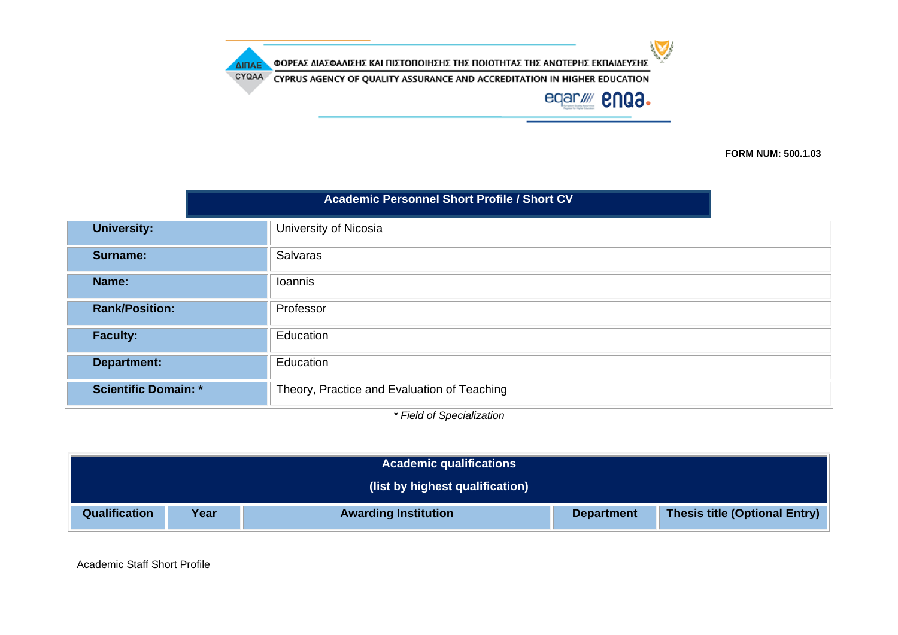$\sum$ ΦΟΡΕΑΣ ΔΙΑΣΦΑΛΙΣΗΣ ΚΑΙ ΠΙΣΤΟΠΟΙΗΣΗΣ ΤΗΣ ΠΟΙΟΤΗΤΑΣ ΤΗΣ ΑΝΩΤΕΡΗΣ ΕΚΠΑΙΔΕΥΣΗΣ ΔΙΠΑΕ CYQAA CYPRUS AGENCY OF QUALITY ASSURANCE AND ACCREDITATION IN HIGHER EDUCATION eqar//// **enga.** 

**FORM NUM: 500.1.03**

| <b>University:</b><br>University of Nicosia<br>Salvaras<br><b>Surname:</b><br>Name:<br>Ioannis<br><b>Rank/Position:</b><br>Professor<br>Education<br><b>Faculty:</b><br>Education<br><b>Department:</b><br><b>Scientific Domain: *</b><br>Theory, Practice and Evaluation of Teaching | <b>Academic Personnel Short Profile / Short CV</b> |  |  |  |
|---------------------------------------------------------------------------------------------------------------------------------------------------------------------------------------------------------------------------------------------------------------------------------------|----------------------------------------------------|--|--|--|
|                                                                                                                                                                                                                                                                                       |                                                    |  |  |  |
|                                                                                                                                                                                                                                                                                       |                                                    |  |  |  |
|                                                                                                                                                                                                                                                                                       |                                                    |  |  |  |
|                                                                                                                                                                                                                                                                                       |                                                    |  |  |  |
|                                                                                                                                                                                                                                                                                       |                                                    |  |  |  |
|                                                                                                                                                                                                                                                                                       |                                                    |  |  |  |
|                                                                                                                                                                                                                                                                                       |                                                    |  |  |  |

*\* Field of Specialization*

| <b>Academic qualifications</b>                                                                                    |                                 |  |  |  |  |  |
|-------------------------------------------------------------------------------------------------------------------|---------------------------------|--|--|--|--|--|
|                                                                                                                   | (list by highest qualification) |  |  |  |  |  |
| <b>Thesis title (Optional Entry)</b><br>Qualification<br>Year<br><b>Awarding Institution</b><br><b>Department</b> |                                 |  |  |  |  |  |

Academic Staff Short Profile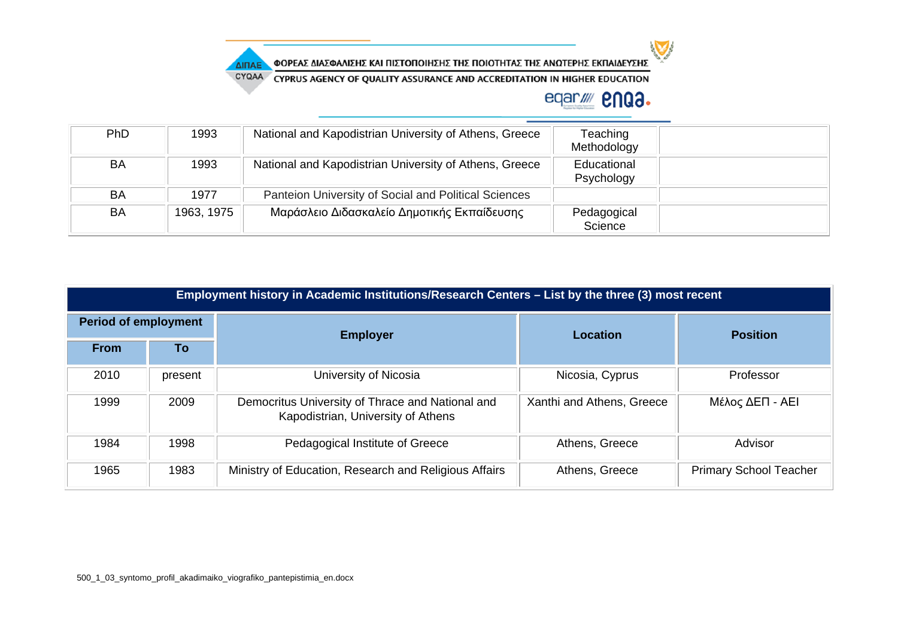

ΦΟΡΕΑΣ ΔΙΑΣΦΑΛΙΣΗΣ ΚΑΙ ΠΙΣΤΟΠΟΙΗΣΗΣ ΤΗΣ ΠΟΙΟΤΗΤΑΣ ΤΗΣ ΑΝΩΤΕΡΗΣ ΕΚΠΑΙΔΕΥΣΗΣ

CYQAA CYPRUS AGENCY OF QUALITY ASSURANCE AND ACCREDITATION IN HIGHER EDUCATION

## eqar/ **2003.**

| PhD | 1993       | National and Kapodistrian University of Athens, Greece | Teaching<br>Methodology   |  |
|-----|------------|--------------------------------------------------------|---------------------------|--|
| BA  | 1993       | National and Kapodistrian University of Athens, Greece | Educational<br>Psychology |  |
| BA  | 1977       | Panteion University of Social and Political Sciences   |                           |  |
| BA  | 1963, 1975 | Μαράσλειο Διδασκαλείο Δημοτικής Εκπαίδευσης            | Pedagogical<br>Science    |  |

|                             | Employment history in Academic Institutions/Research Centers – List by the three (3) most recent |                                                                                        |                           |                               |  |  |
|-----------------------------|--------------------------------------------------------------------------------------------------|----------------------------------------------------------------------------------------|---------------------------|-------------------------------|--|--|
| <b>Period of employment</b> |                                                                                                  | <b>Employer</b>                                                                        | Location                  | <b>Position</b>               |  |  |
| <b>From</b>                 | To                                                                                               |                                                                                        |                           |                               |  |  |
| 2010                        | present                                                                                          | University of Nicosia                                                                  | Nicosia, Cyprus           | Professor                     |  |  |
| 1999                        | 2009                                                                                             | Democritus University of Thrace and National and<br>Kapodistrian, University of Athens | Xanthi and Athens, Greece | Μέλος ΔΕΠ - ΑΕΙ               |  |  |
| 1984                        | 1998                                                                                             | Pedagogical Institute of Greece                                                        | Athens, Greece            | Advisor                       |  |  |
| 1965                        | 1983                                                                                             | Ministry of Education, Research and Religious Affairs                                  | Athens, Greece            | <b>Primary School Teacher</b> |  |  |

ΔΙΠΑΕ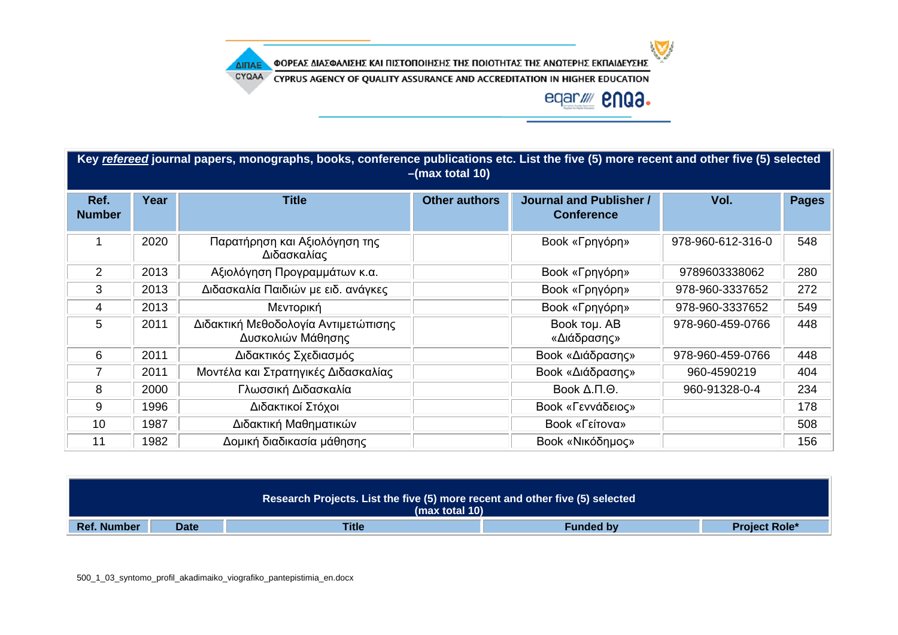ΦΟΡΕΑΣ ΔΙΑΣΦΑΛΙΣΗΣ ΚΑΙ ΠΙΣΤΟΠΟΙΗΣΗΣ ΤΗΣ ΠΟΙΟΤΗΤΑΣ ΤΗΣ ΑΝΩΤΕΡΗΣ ΕΚΠΑΙΔΕΥΣΗΣ

CYQAA CYPRUS AGENCY OF QUALITY ASSURANCE AND ACCREDITATION IN HIGHER EDUCATION



 $\sum$ 

|                       | Key refereed journal papers, monographs, books, conference publications etc. List the five (5) more recent and other five (5) selected<br>$-(max total 10)$ |                                                          |                      |                                                     |                   |              |  |
|-----------------------|-------------------------------------------------------------------------------------------------------------------------------------------------------------|----------------------------------------------------------|----------------------|-----------------------------------------------------|-------------------|--------------|--|
| Ref.<br><b>Number</b> | Year                                                                                                                                                        | <b>Title</b>                                             | <b>Other authors</b> | <b>Journal and Publisher /</b><br><b>Conference</b> | Vol.              | <b>Pages</b> |  |
|                       | 2020                                                                                                                                                        | Παρατήρηση και Αξιολόγηση της<br>Διδασκαλίας             |                      | Book «Γρηγόρη»                                      | 978-960-612-316-0 | 548          |  |
| $\overline{2}$        | 2013                                                                                                                                                        | Αξιολόγηση Προγραμμάτων κ.α.                             |                      | Book «Γρηγόρη»                                      | 9789603338062     | 280          |  |
| 3                     | 2013                                                                                                                                                        | Διδασκαλία Παιδιών με ειδ. ανάγκες                       |                      | Book «Γρηγόρη»                                      | 978-960-3337652   | 272          |  |
| 4                     | 2013                                                                                                                                                        | Μεντορική                                                |                      | Book «Γρηγόρη»                                      | 978-960-3337652   | 549          |  |
| 5                     | 2011                                                                                                                                                        | Διδακτική Μεθοδολογία Αντιμετώπισης<br>Δυσκολιών Μάθησης |                      | Book Tou. AB<br>«Διάδρασης»                         | 978-960-459-0766  | 448          |  |
| 6                     | 2011                                                                                                                                                        | Διδακτικός Σχεδιασμός                                    |                      | Book «Διάδρασης»                                    | 978-960-459-0766  | 448          |  |
| 7                     | 2011                                                                                                                                                        | Μοντέλα και Στρατηγικές Διδασκαλίας                      |                      | Book «Διάδρασης»                                    | 960-4590219       | 404          |  |
| 8                     | 2000                                                                                                                                                        | Γλωσσική Διδασκαλία                                      |                      | Book $\Delta$ . $\Pi$ . $\Theta$ .                  | 960-91328-0-4     | 234          |  |
| 9                     | 1996                                                                                                                                                        | Διδακτικοί Στόχοι                                        |                      | Book «Γεννάδειος»                                   |                   | 178          |  |
| 10                    | 1987                                                                                                                                                        | Διδακτική Μαθηματικών                                    |                      | Book «Γείτονα»                                      |                   | 508          |  |
| 11                    | 1982                                                                                                                                                        | Δομική διαδικασία μάθησης                                |                      | Book «Νικόδημος»                                    |                   | 156          |  |

|                                                                                        | Research Projects. List the five (5) more recent and other five (5) selected<br>(max total 10) |  |  |  |  |
|----------------------------------------------------------------------------------------|------------------------------------------------------------------------------------------------|--|--|--|--|
| <b>Title</b><br><b>Ref. Number</b><br><b>Funded by</b><br><b>Project Role*</b><br>Date |                                                                                                |  |  |  |  |

500\_1\_03\_syntomo\_profil\_akadimaiko\_viografiko\_pantepistimia\_en.docx

ΔΙΠΑΕ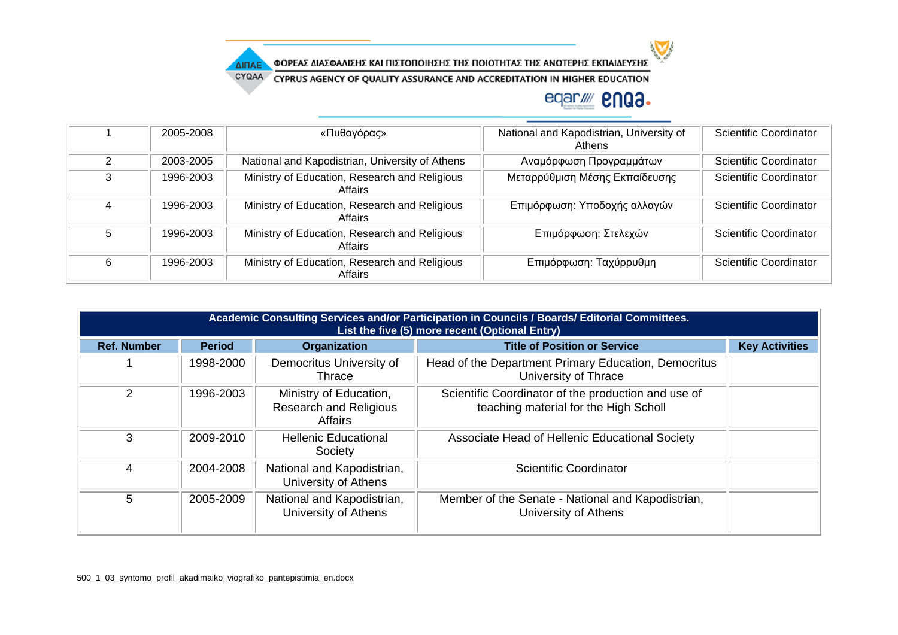

ΔΙΠΑΕ

ΦΟΡΕΑΣ ΔΙΑΣΦΑΛΙΣΗΣ ΚΑΙ ΠΙΣΤΟΠΟΙΗΣΗΣ ΤΗΣ ΠΟΙΟΤΗΤΑΣ ΤΗΣ ΑΝΩΤΕΡΗΣ ΕΚΠΑΙΔΕΥΣΗΣ

CYQAA CYPRUS AGENCY OF QUALITY ASSURANCE AND ACCREDITATION IN HIGHER EDUCATION

## eqar/ **2003.**

 $\sum$ 

|   | 2005-2008 | «Πυθαγόρας»                                              | National and Kapodistrian, University of<br>Athens | Scientific Coordinator        |
|---|-----------|----------------------------------------------------------|----------------------------------------------------|-------------------------------|
| 2 | 2003-2005 | National and Kapodistrian, University of Athens          | Αναμόρφωση Προγραμμάτων                            | Scientific Coordinator        |
| 3 | 1996-2003 | Ministry of Education, Research and Religious<br>Affairs | Μεταρρύθμιση Μέσης Εκπαίδευσης                     | <b>Scientific Coordinator</b> |
| 4 | 1996-2003 | Ministry of Education, Research and Religious<br>Affairs | Επιμόρφωση: Υποδοχής αλλαγών                       | <b>Scientific Coordinator</b> |
| 5 | 1996-2003 | Ministry of Education, Research and Religious<br>Affairs | Επιμόρφωση: Στελεχών                               | <b>Scientific Coordinator</b> |
| 6 | 1996-2003 | Ministry of Education, Research and Religious<br>Affairs | Επιμόρφωση: Ταχύρρυθμη                             | Scientific Coordinator        |

|                    | Academic Consulting Services and/or Participation in Councils / Boards/ Editorial Committees.<br>List the five (5) more recent (Optional Entry) |                                                                           |                                                                                              |                       |
|--------------------|-------------------------------------------------------------------------------------------------------------------------------------------------|---------------------------------------------------------------------------|----------------------------------------------------------------------------------------------|-----------------------|
| <b>Ref. Number</b> | <b>Period</b>                                                                                                                                   | Organization                                                              | <b>Title of Position or Service</b>                                                          | <b>Key Activities</b> |
|                    | 1998-2000                                                                                                                                       | Democritus University of<br>Thrace                                        | Head of the Department Primary Education, Democritus<br>University of Thrace                 |                       |
| 2                  | 1996-2003                                                                                                                                       | Ministry of Education,<br><b>Research and Religious</b><br><b>Affairs</b> | Scientific Coordinator of the production and use of<br>teaching material for the High Scholl |                       |
| 3                  | 2009-2010                                                                                                                                       | <b>Hellenic Educational</b><br>Society                                    | Associate Head of Hellenic Educational Society                                               |                       |
| 4                  | 2004-2008                                                                                                                                       | National and Kapodistrian,<br>University of Athens                        | <b>Scientific Coordinator</b>                                                                |                       |
| 5                  | 2005-2009                                                                                                                                       | National and Kapodistrian,<br>University of Athens                        | Member of the Senate - National and Kapodistrian,<br>University of Athens                    |                       |